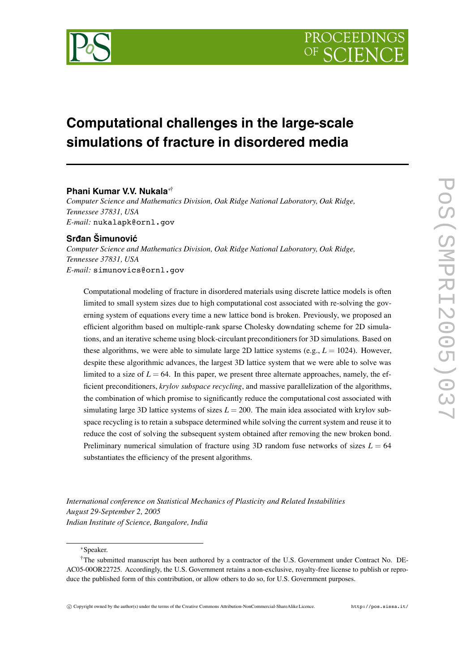

# **Computational challenges in the large-scale simulations of fracture in disordered media**

# **Phani Kumar V.V. Nukala**∗†

*Computer Science and Mathematics Division, Oak Ridge National Laboratory, Oak Ridge, Tennessee 37831, USA E-mail:* nukalapk@ornl.gov

## **Srdan Šimunovic´**

*Computer Science and Mathematics Division, Oak Ridge National Laboratory, Oak Ridge, Tennessee 37831, USA E-mail:* simunovics@ornl.gov

Computational modeling of fracture in disordered materials using discrete lattice models is often limited to small system sizes due to high computational cost associated with re-solving the governing system of equations every time a new lattice bond is broken. Previously, we proposed an efficient algorithm based on multiple-rank sparse Cholesky downdating scheme for 2D simulations, and an iterative scheme using block-circulant preconditioners for 3D simulations. Based on these algorithms, we were able to simulate large 2D lattice systems (e.g., *L* = 1024). However, despite these algorithmic advances, the largest 3D lattice system that we were able to solve was limited to a size of  $L = 64$ . In this paper, we present three alternate approaches, namely, the efficient preconditioners, *krylov subspace recycling*, and massive parallelization of the algorithms, the combination of which promise to significantly reduce the computational cost associated with simulating large 3D lattice systems of sizes  $L = 200$ . The main idea associated with krylov subspace recycling is to retain a subspace determined while solving the current system and reuse it to reduce the cost of solving the subsequent system obtained after removing the new broken bond. Preliminary numerical simulation of fracture using 3D random fuse networks of sizes  $L = 64$ substantiates the efficiency of the present algorithms.

*International conference on Statistical Mechanics of Plasticity and Related Instabilities August 29-September 2, 2005 Indian Institute of Science, Bangalore, India*

∗Speaker.

<sup>†</sup>The submitted manuscript has been authored by a contractor of the U.S. Government under Contract No. DE-AC05-00OR22725. Accordingly, the U.S. Government retains a non-exclusive, royalty-free license to publish or reproduce the published form of this contribution, or allow others to do so, for U.S. Government purposes.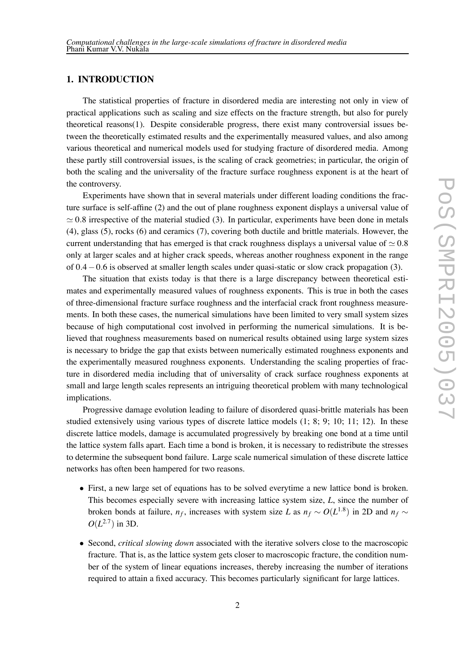# **1. INTRODUCTION**

The statistical properties of fracture in disordered media are interesting not only in view of practical applications such as scaling and size effects on the fracture strength, but also for purely theoretical reasons(1). Despite considerable progress, there exist many controversial issues between the theoretically estimated results and the experimentally measured values, and also among various theoretical and numerical models used for studying fracture of disordered media. Among these partly still controversial issues, is the scaling of crack geometries; in particular, the origin of both the scaling and the universality of the fracture surface roughness exponent is at the heart of the controversy.

Experiments have shown that in several materials under different loading conditions the fracture surface is self-affine (2) and the out of plane roughness exponent displays a universal value of  $\approx$  0.8 irrespective of the material studied (3). In particular, experiments have been done in metals (4), glass (5), rocks (6) and ceramics (7), covering both ductile and brittle materials. However, the current understanding that has emerged is that crack roughness displays a universal value of  $\simeq 0.8$ only at larger scales and at higher crack speeds, whereas another roughness exponent in the range of 0*.*4−0*.*6 is observed at smaller length scales under quasi-static or slow crack propagation (3).

The situation that exists today is that there is a large discrepancy between theoretical estimates and experimentally measured values of roughness exponents. This is true in both the cases of three-dimensional fracture surface roughness and the interfacial crack front roughness measurements. In both these cases, the numerical simulations have been limited to very small system sizes because of high computational cost involved in performing the numerical simulations. It is believed that roughness measurements based on numerical results obtained using large system sizes is necessary to bridge the gap that exists between numerically estimated roughness exponents and the experimentally measured roughness exponents. Understanding the scaling properties of fracture in disordered media including that of universality of crack surface roughness exponents at small and large length scales represents an intriguing theoretical problem with many technological implications.

Progressive damage evolution leading to failure of disordered quasi-brittle materials has been studied extensively using various types of discrete lattice models (1; 8; 9; 10; 11; 12). In these discrete lattice models, damage is accumulated progressively by breaking one bond at a time until the lattice system falls apart. Each time a bond is broken, it is necessary to redistribute the stresses to determine the subsequent bond failure. Large scale numerical simulation of these discrete lattice networks has often been hampered for two reasons.

- First, a new large set of equations has to be solved everytime a new lattice bond is broken. This becomes especially severe with increasing lattice system size, *L*, since the number of broken bonds at failure, *n<sub>f</sub>*, increases with system size *L* as  $n_f \sim O(L^{1.8})$  in 2D and  $n_f \sim$  $O(L^{2.7})$  in 3D.
- Second, *critical slowing down* associated with the iterative solvers close to the macroscopic fracture. That is, as the lattice system gets closer to macroscopic fracture, the condition number of the system of linear equations increases, thereby increasing the number of iterations required to attain a fixed accuracy. This becomes particularly significant for large lattices.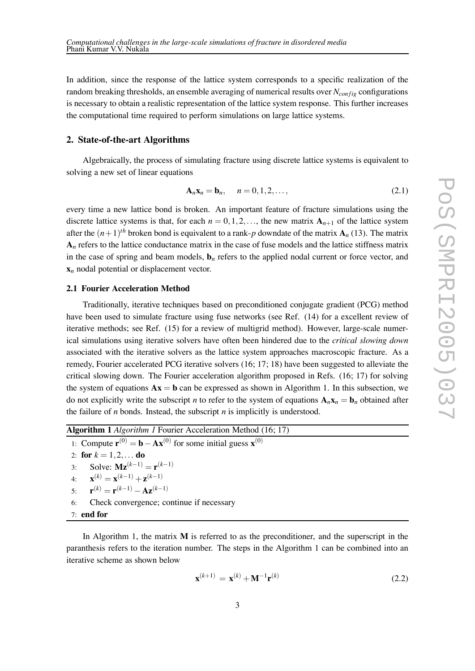In addition, since the response of the lattice system corresponds to a specific realization of the random breaking thresholds, an ensemble averaging of numerical results over *N<sub>config</sub>* configurations is necessary to obtain a realistic representation of the lattice system response. This further increases the computational time required to perform simulations on large lattice systems.

#### **2. State-of-the-art Algorithms**

Algebraically, the process of simulating fracture using discrete lattice systems is equivalent to solving a new set of linear equations

$$
\mathbf{A}_n \mathbf{x}_n = \mathbf{b}_n, \quad n = 0, 1, 2, \dots,
$$
\n<sup>(2.1)</sup>

every time a new lattice bond is broken. An important feature of fracture simulations using the discrete lattice systems is that, for each  $n = 0, 1, 2, \ldots$ , the new matrix  $A_{n+1}$  of the lattice system after the  $(n+1)$ <sup>th</sup> broken bond is equivalent to a rank-p downdate of the matrix  $\mathbf{A}_n$  (13). The matrix **A***<sup>n</sup>* refers to the lattice conductance matrix in the case of fuse models and the lattice stiffness matrix in the case of spring and beam models,  $\mathbf{b}_n$  refers to the applied nodal current or force vector, and **x***<sup>n</sup>* nodal potential or displacement vector.

### **2.1 Fourier Acceleration Method**

Traditionally, iterative techniques based on preconditioned conjugate gradient (PCG) method have been used to simulate fracture using fuse networks (see Ref. (14) for a excellent review of iterative methods; see Ref. (15) for a review of multigrid method). However, large-scale numerical simulations using iterative solvers have often been hindered due to the *critical slowing down* associated with the iterative solvers as the lattice system approaches macroscopic fracture. As a remedy, Fourier accelerated PCG iterative solvers (16; 17; 18) have been suggested to alleviate the critical slowing down. The Fourier acceleration algorithm proposed in Refs. (16; 17) for solving the system of equations  $Ax = b$  can be expressed as shown in Algorithm 1. In this subsection, we do not explicitly write the subscript *n* to refer to the system of equations  $\mathbf{A}_n \mathbf{x}_n = \mathbf{b}_n$  obtained after the failure of *n* bonds. Instead, the subscript *n* is implicitly is understood.

| <b>Algorithm 1</b> <i>Algorithm 1</i> Fourier Acceleration Method (16; 17)                                        |  |  |  |
|-------------------------------------------------------------------------------------------------------------------|--|--|--|
| 1: Compute $\mathbf{r}^{(0)} = \mathbf{b} - \mathbf{A}\mathbf{x}^{(0)}$ for some initial guess $\mathbf{x}^{(0)}$ |  |  |  |
| 2: for $k = 1, 2, $ do                                                                                            |  |  |  |
| 3: Solve: $\mathbf{Mz}^{(k-1)} = \mathbf{r}^{(k-1)}$                                                              |  |  |  |
| 4: $\mathbf{x}^{(k)} = \mathbf{x}^{(k-1)} + \mathbf{z}^{(k-1)}$                                                   |  |  |  |
| 5. $\mathbf{r}^{(k)} = \mathbf{r}^{(k-1)} - \mathbf{A} \mathbf{z}^{(k-1)}$                                        |  |  |  |
| Check convergence; continue if necessary<br>6:                                                                    |  |  |  |
| $7:$ end for                                                                                                      |  |  |  |

In Algorithm 1, the matrix **M** is referred to as the preconditioner, and the superscript in the paranthesis refers to the iteration number. The steps in the Algorithm 1 can be combined into an iterative scheme as shown below

$$
\mathbf{x}^{(k+1)} = \mathbf{x}^{(k)} + \mathbf{M}^{-1} \mathbf{r}^{(k)}
$$
 (2.2)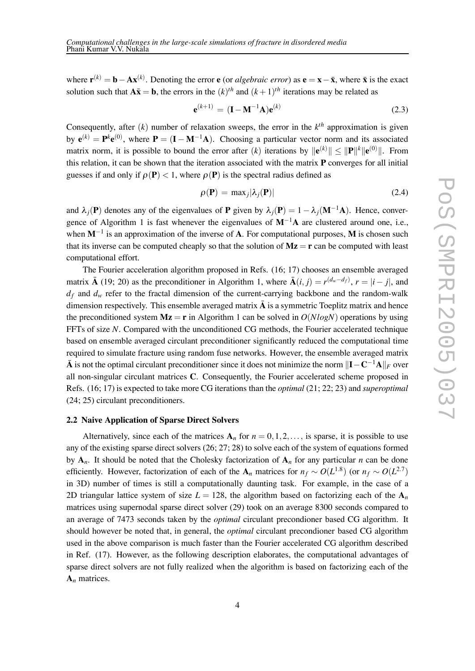where  $\mathbf{r}^{(k)} = \mathbf{b} - \mathbf{A}\mathbf{x}^{(k)}$ . Denoting the error **e** (or *algebraic error*) as  $\mathbf{e} = \mathbf{x} - \bar{\mathbf{x}}$ , where  $\bar{\mathbf{x}}$  is the exact solution such that  $A\bar{x} = b$ , the errors in the  $(k)^{th}$  and  $(k+1)^{th}$  iterations may be related as

$$
\mathbf{e}^{(k+1)} = (\mathbf{I} - \mathbf{M}^{-1}\mathbf{A})\mathbf{e}^{(k)}
$$
 (2.3)

Consequently, after  $(k)$  number of relaxation sweeps, the error in the  $k<sup>th</sup>$  approximation is given by  $e^{(k)} = P^k e^{(0)}$ , where  $P = (I - M^{-1}A)$ . Choosing a particular vector norm and its associated matrix norm, it is possible to bound the error after  $(k)$  iterations by  $\|\mathbf{e}^{(k)}\| \leq \|\mathbf{P}\|^k \|\mathbf{e}^{(0)}\|$ . From this relation, it can be shown that the iteration associated with the matrix **P** converges for all initial guesses if and only if  $\rho(\mathbf{P}) < 1$ , where  $\rho(\mathbf{P})$  is the spectral radius defined as

$$
\rho(\mathbf{P}) = \max_j |\lambda_j(\mathbf{P})| \tag{2.4}
$$

and  $\lambda_i(\mathbf{P})$  denotes any of the eigenvalues of **P** given by  $\lambda_i(\mathbf{P}) = 1 - \lambda_i(\mathbf{M}^{-1}\mathbf{A})$ . Hence, convergence of Algorithm 1 is fast whenever the eigenvalues of **M**−1**A** are clustered around one, i.e., when **M**−<sup>1</sup> is an approximation of the inverse of **A**. For computational purposes, **M** is chosen such that its inverse can be computed cheaply so that the solution of  $Mz = r$  can be computed with least computational effort.

The Fourier acceleration algorithm proposed in Refs. (16; 17) chooses an ensemble averaged matrix **Ā** (19; 20) as the preconditioner in Algorithm 1, where  $\bar{A}(i, j) = r^{(d_w - d_f)}$ ,  $r = |i - j|$ , and  $d_f$  and  $d_w$  refer to the fractal dimension of the current-carrying backbone and the random-walk dimension respectively. This ensemble averaged matrix  $\overline{A}$  is a symmetric Toeplitz matrix and hence the preconditioned system  $Mz = r$  in Algorithm 1 can be solved in  $O(N \log N)$  operations by using FFTs of size *N*. Compared with the unconditioned CG methods, the Fourier accelerated technique based on ensemble averaged circulant preconditioner significantly reduced the computational time required to simulate fracture using random fuse networks. However, the ensemble averaged matrix  $\bar{A}$  is not the optimal circulant preconditioner since it does not minimize the norm  $\|\mathbf{I} - \mathbf{C}^{-1}\mathbf{A}\|_F$  over all non-singular circulant matrices **C**. Consequently, the Fourier accelerated scheme proposed in Refs. (16; 17) is expected to take more CG iterations than the *optimal* (21; 22; 23) and *superoptimal* (24; 25) circulant preconditioners.

#### **2.2 Naive Application of Sparse Direct Solvers**

Alternatively, since each of the matrices  $A_n$  for  $n = 0, 1, 2, \ldots$ , is sparse, it is possible to use any of the existing sparse direct solvers (26; 27; 28) to solve each of the system of equations formed by  $A_n$ . It should be noted that the Cholesky factorization of  $A_n$  for any particular *n* can be done efficiently. However, factorization of each of the  $A_n$  matrices for  $n_f \sim O(L^{1.8})$  (or  $n_f \sim O(L^{2.7})$ ) in 3D) number of times is still a computationally daunting task. For example, in the case of a 2D triangular lattice system of size  $L = 128$ , the algorithm based on factorizing each of the  $A_n$ matrices using supernodal sparse direct solver (29) took on an average 8300 seconds compared to an average of 7473 seconds taken by the *optimal* circulant precondioner based CG algorithm. It should however be noted that, in general, the *optimal* circulant precondioner based CG algorithm used in the above comparison is much faster than the Fourier accelerated CG algorithm described in Ref. (17). However, as the following description elaborates, the computational advantages of sparse direct solvers are not fully realized when the algorithm is based on factorizing each of the **A***<sup>n</sup>* matrices.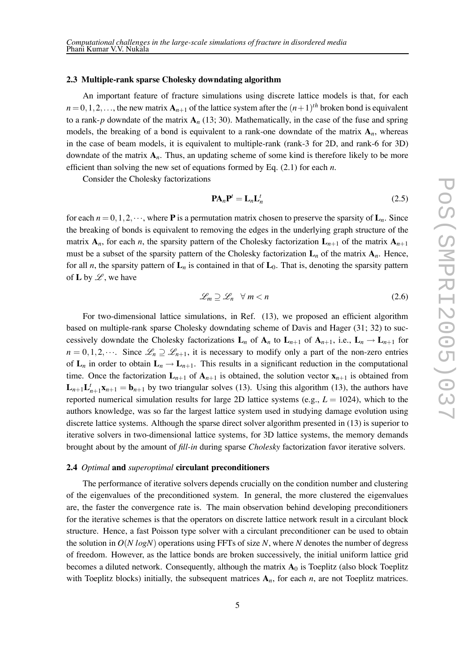#### **2.3 Multiple-rank sparse Cholesky downdating algorithm**

An important feature of fracture simulations using discrete lattice models is that, for each  $n = 0, 1, 2, \ldots$ , the new matrix  $\mathbf{A}_{n+1}$  of the lattice system after the  $(n+1)^{th}$  broken bond is equivalent to a rank-*p* downdate of the matrix  $A_n$  (13; 30). Mathematically, in the case of the fuse and spring models, the breaking of a bond is equivalent to a rank-one downdate of the matrix  $A_n$ , whereas in the case of beam models, it is equivalent to multiple-rank (rank-3 for 2D, and rank-6 for 3D) downdate of the matrix  $A_n$ . Thus, an updating scheme of some kind is therefore likely to be more efficient than solving the new set of equations formed by Eq. (2.1) for each *n*.

Consider the Cholesky factorizations

$$
\mathbf{PA}_n \mathbf{P}^t = \mathbf{L}_n \mathbf{L}_n^t \tag{2.5}
$$

for each  $n = 0, 1, 2, \dots$ , where **P** is a permutation matrix chosen to preserve the sparsity of  $\mathbf{L}_n$ . Since the breaking of bonds is equivalent to removing the edges in the underlying graph structure of the matrix  $A_n$ , for each *n*, the sparsity pattern of the Cholesky factorization  $L_{n+1}$  of the matrix  $A_{n+1}$ must be a subset of the sparsity pattern of the Cholesky factorization  $\mathbf{L}_n$  of the matrix  $\mathbf{A}_n$ . Hence, for all *n*, the sparsity pattern of  $L_n$  is contained in that of  $L_0$ . That is, denoting the sparsity pattern of **L** by  $\mathscr{L}$ , we have

$$
\mathcal{L}_m \supseteq \mathcal{L}_n \quad \forall \ m < n \tag{2.6}
$$

For two-dimensional lattice simulations, in Ref. (13), we proposed an efficient algorithm based on multiple-rank sparse Cholesky downdating scheme of Davis and Hager (31; 32) to successively downdate the Cholesky factorizations  $L_n$  of  $A_n$  to  $L_{n+1}$  of  $A_{n+1}$ , i.e.,  $L_n \to L_{n+1}$  for  $n = 0, 1, 2, \dots$  Since  $\mathcal{L}_n \supseteq \mathcal{L}_{n+1}$ , it is necessary to modify only a part of the non-zero entries of  $\mathbf{L}_n$  in order to obtain  $\mathbf{L}_n \to \mathbf{L}_{n+1}$ . This results in a significant reduction in the computational time. Once the factorization  $\mathbf{L}_{n+1}$  of  $\mathbf{A}_{n+1}$  is obtained, the solution vector  $\mathbf{x}_{n+1}$  is obtained from  $\mathbf{L}_{n+1}\mathbf{L}_{n+1}^t\mathbf{x}_{n+1} = \mathbf{b}_{n+1}$  by two triangular solves (13). Using this algorithm (13), the authors have reported numerical simulation results for large 2D lattice systems (e.g.,  $L = 1024$ ), which to the authors knowledge, was so far the largest lattice system used in studying damage evolution using discrete lattice systems. Although the sparse direct solver algorithm presented in (13) is superior to iterative solvers in two-dimensional lattice systems, for 3D lattice systems, the memory demands brought about by the amount of *fill-in* during sparse *Cholesky* factorization favor iterative solvers.

#### **2.4** *Optimal* **and** *superoptimal* **circulant preconditioners**

The performance of iterative solvers depends crucially on the condition number and clustering of the eigenvalues of the preconditioned system. In general, the more clustered the eigenvalues are, the faster the convergence rate is. The main observation behind developing preconditioners for the iterative schemes is that the operators on discrete lattice network result in a circulant block structure. Hence, a fast Poisson type solver with a circulant preconditioner can be used to obtain the solution in  $O(N \log N)$  operations using FFTs of size N, where N denotes the number of degress of freedom. However, as the lattice bonds are broken successively, the initial uniform lattice grid becomes a diluted network. Consequently, although the matrix  $A_0$  is Toeplitz (also block Toeplitz with Toeplitz blocks) initially, the subsequent matrices **A***n*, for each *n*, are not Toeplitz matrices.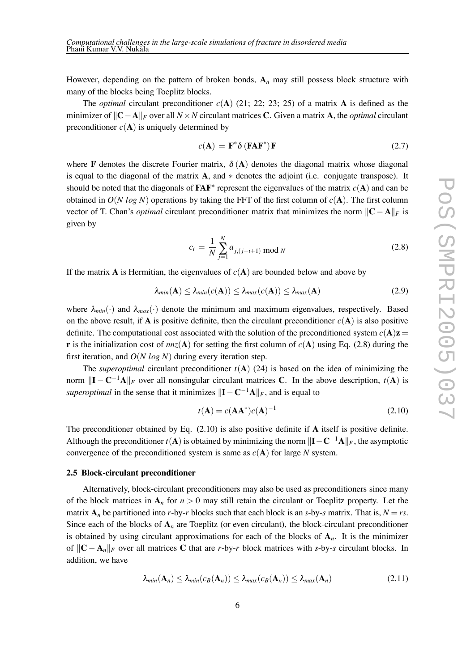However, depending on the pattern of broken bonds,  $A_n$  may still possess block structure with many of the blocks being Toeplitz blocks.

The *optimal* circulant preconditioner *c*(**A**) (21; 22; 23; 25) of a matrix **A** is defined as the minimizer of  $\Vert \mathbf{C} - \mathbf{A} \Vert_F$  over all *N* × *N* circulant matrices **C**. Given a matrix **A**, the *optimal* circulant preconditioner  $c(A)$  is uniquely determined by

$$
c(\mathbf{A}) = \mathbf{F}^* \delta \left( \mathbf{F} \mathbf{A} \mathbf{F}^* \right) \mathbf{F} \tag{2.7}
$$

where **F** denotes the discrete Fourier matrix,  $\delta(A)$  denotes the diagonal matrix whose diagonal is equal to the diagonal of the matrix **A**, and ∗ denotes the adjoint (i.e. conjugate transpose). It should be noted that the diagonals of **FAF**<sup>∗</sup> represent the eigenvalues of the matrix  $c(A)$  and can be obtained in  $O(N \log N)$  operations by taking the FFT of the first column of  $c(A)$ . The first column vector of T. Chan's *optimal* circulant preconditioner matrix that minimizes the norm  $\|\mathbf{C} - \mathbf{A}\|_F$  is given by

$$
c_i = \frac{1}{N} \sum_{j=1}^{N} a_{j,(j-i+1) \mod N} \tag{2.8}
$$

If the matrix **A** is Hermitian, the eigenvalues of  $c(A)$  are bounded below and above by

$$
\lambda_{min}(\mathbf{A}) \leq \lambda_{min}(c(\mathbf{A})) \leq \lambda_{max}(c(\mathbf{A})) \leq \lambda_{max}(\mathbf{A})
$$
\n(2.9)

where  $\lambda_{min}(\cdot)$  and  $\lambda_{max}(\cdot)$  denote the minimum and maximum eigenvalues, respectively. Based on the above result, if **A** is positive definite, then the circulant preconditioner  $c(A)$  is also positive definite. The computational cost associated with the solution of the preconditioned system  $c(A)z =$ **r** is the initialization cost of  $nnz(A)$  for setting the first column of  $c(A)$  using Eq. (2.8) during the first iteration, and *O*(*N log N*) during every iteration step.

The *superoptimal* circulant preconditioner  $t(A)$  (24) is based on the idea of minimizing the norm  $\|\mathbf{I} - \mathbf{C}^{-1}\mathbf{A}\|_F$  over all nonsingular circulant matrices **C**. In the above description,  $t(\mathbf{A})$  is *superoptimal* in the sense that it minimizes  $\|\mathbf{I} - \mathbf{C}^{-1}\mathbf{A}\|_F$ , and is equal to

$$
t(\mathbf{A}) = c(\mathbf{A}\mathbf{A}^*)c(\mathbf{A})^{-1}
$$
\n(2.10)

The preconditioner obtained by Eq. (2.10) is also positive definite if **A** itself is positive definite. Although the preconditioner *t*(**A**) is obtained by minimizing the norm  $\|\mathbf{I} - \mathbf{C}^{-1}\mathbf{A}\|_F$ , the asymptotic convergence of the preconditioned system is same as *c*(**A**) for large *N* system.

## **2.5 Block-circulant preconditioner**

Alternatively, block-circulant preconditioners may also be used as preconditioners since many of the block matrices in  $A_n$  for  $n > 0$  may still retain the circulant or Toeplitz property. Let the matrix  $\mathbf{A}_n$  be partitioned into *r*-by-*r* blocks such that each block is an *s*-by-*s* matrix. That is,  $N = rs$ . Since each of the blocks of  $A_n$  are Toeplitz (or even circulant), the block-circulant preconditioner is obtained by using circulant approximations for each of the blocks of  $A<sub>n</sub>$ . It is the minimizer of  $||C - A<sub>n</sub>||<sub>F</sub>$  over all matrices C that are *r*-by-*r* block matrices with *s*-by-*s* circulant blocks. In addition, we have

$$
\lambda_{min}(\mathbf{A}_n) \leq \lambda_{min}(c_B(\mathbf{A}_n)) \leq \lambda_{max}(c_B(\mathbf{A}_n)) \leq \lambda_{max}(\mathbf{A}_n)
$$
\n(2.11)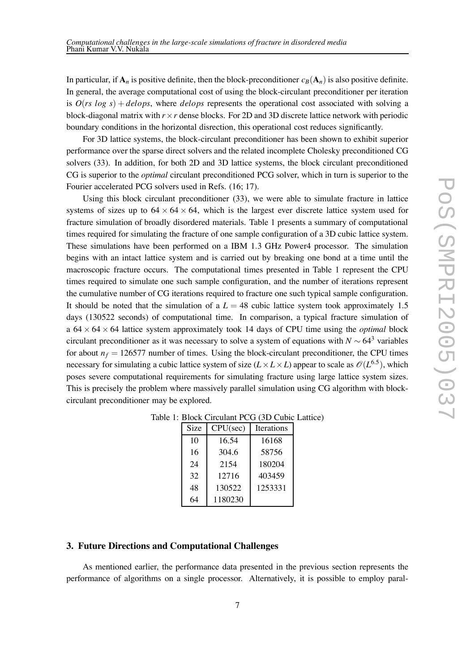In particular, if  $\mathbf{A}_n$  is positive definite, then the block-preconditioner  $c_B(\mathbf{A}_n)$  is also positive definite. In general, the average computational cost of using the block-circulant preconditioner per iteration is  $O(rs \log s) + delops$ , where *delops* represents the operational cost associated with solving a block-diagonal matrix with  $r \times r$  dense blocks. For 2D and 3D discrete lattice network with periodic boundary conditions in the horizontal disrection, this operational cost reduces significantly.

For 3D lattice systems, the block-circulant preconditioner has been shown to exhibit superior performance over the sparse direct solvers and the related incomplete Cholesky preconditioned CG solvers (33). In addition, for both 2D and 3D lattice systems, the block circulant preconditioned CG is superior to the *optimal* circulant preconditioned PCG solver, which in turn is superior to the Fourier accelerated PCG solvers used in Refs. (16; 17).

Using this block circulant preconditioner (33), we were able to simulate fracture in lattice systems of sizes up to  $64 \times 64 \times 64$ , which is the largest ever discrete lattice system used for fracture simulation of broadly disordered materials. Table 1 presents a summary of computational times required for simulating the fracture of one sample configuration of a 3D cubic lattice system. These simulations have been performed on a IBM 1*.*3 GHz Power4 processor. The simulation begins with an intact lattice system and is carried out by breaking one bond at a time until the macroscopic fracture occurs. The computational times presented in Table 1 represent the CPU times required to simulate one such sample configuration, and the number of iterations represent the cumulative number of CG iterations required to fracture one such typical sample configuration. It should be noted that the simulation of a  $L = 48$  cubic lattice system took approximately 1.5 days (130522 seconds) of computational time. In comparison, a typical fracture simulation of a  $64 \times 64 \times 64$  lattice system approximately took 14 days of CPU time using the *optimal* block circulant preconditioner as it was necessary to solve a system of equations with  $N \sim 64^3$  variables for about  $n_f = 126577$  number of times. Using the block-circulant preconditioner, the CPU times necessary for simulating a cubic lattice system of size  $(L \times L \times L)$  appear to scale as  $\mathcal{O}(L^{6.5})$ , which poses severe computational requirements for simulating fracture using large lattice system sizes. This is precisely the problem where massively parallel simulation using CG algorithm with blockcirculant preconditioner may be explored.

| Size | CPU(sec) | Iterations |
|------|----------|------------|
| 10   | 16.54    | 16168      |
| 16   | 304.6    | 58756      |
| 24   | 2154     | 180204     |
| 32   | 12716    | 403459     |
| 48   | 130522   | 1253331    |
| 64   | 1180230  |            |

Table 1: Block Circulant PCG (3D Cubic Lattice)

# **3. Future Directions and Computational Challenges**

As mentioned earlier, the performance data presented in the previous section represents the performance of algorithms on a single processor. Alternatively, it is possible to employ paral-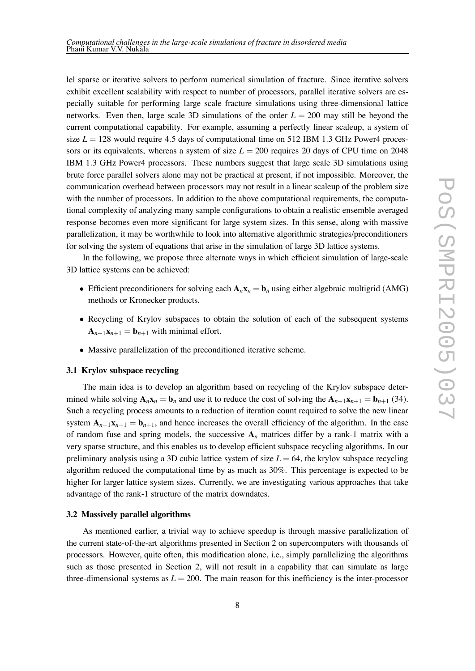lel sparse or iterative solvers to perform numerical simulation of fracture. Since iterative solvers exhibit excellent scalability with respect to number of processors, parallel iterative solvers are especially suitable for performing large scale fracture simulations using three-dimensional lattice networks. Even then, large scale 3D simulations of the order  $L = 200$  may still be beyond the current computational capability. For example, assuming a perfectly linear scaleup, a system of size  $L = 128$  would require 4.5 days of computational time on 512 IBM 1.3 GHz Power4 processors or its equivalents, whereas a system of size  $L = 200$  requires 20 days of CPU time on 2048 IBM 1*.*3 GHz Power4 processors. These numbers suggest that large scale 3D simulations using brute force parallel solvers alone may not be practical at present, if not impossible. Moreover, the communication overhead between processors may not result in a linear scaleup of the problem size with the number of processors. In addition to the above computational requirements, the computational complexity of analyzing many sample configurations to obtain a realistic ensemble averaged response becomes even more significant for large system sizes. In this sense, along with massive parallelization, it may be worthwhile to look into alternative algorithmic strategies/preconditioners for solving the system of equations that arise in the simulation of large 3D lattice systems.

In the following, we propose three alternate ways in which efficient simulation of large-scale 3D lattice systems can be achieved:

- Efficient preconditioners for solving each  $\mathbf{A}_n \mathbf{x}_n = \mathbf{b}_n$  using either algebraic multigrid (AMG) methods or Kronecker products.
- Recycling of Krylov subspaces to obtain the solution of each of the subsequent systems  $\mathbf{A}_{n+1}\mathbf{x}_{n+1} = \mathbf{b}_{n+1}$  with minimal effort.
- Massive parallelization of the preconditioned iterative scheme.

#### **3.1 Krylov subspace recycling**

The main idea is to develop an algorithm based on recycling of the Krylov subspace determined while solving  $\mathbf{A}_n \mathbf{x}_n = \mathbf{b}_n$  and use it to reduce the cost of solving the  $\mathbf{A}_{n+1} \mathbf{x}_{n+1} = \mathbf{b}_{n+1}$  (34). Such a recycling process amounts to a reduction of iteration count required to solve the new linear system  $A_{n+1}X_{n+1} = b_{n+1}$ , and hence increases the overall efficiency of the algorithm. In the case of random fuse and spring models, the successive  $A_n$  matrices differ by a rank-1 matrix with a very sparse structure, and this enables us to develop efficient subspace recycling algorithms. In our preliminary analysis using a 3D cubic lattice system of size  $L = 64$ , the krylov subspace recycling algorithm reduced the computational time by as much as 30%. This percentage is expected to be higher for larger lattice system sizes. Currently, we are investigating various approaches that take advantage of the rank-1 structure of the matrix downdates.

#### **3.2 Massively parallel algorithms**

As mentioned earlier, a trivial way to achieve speedup is through massive parallelization of the current state-of-the-art algorithms presented in Section 2 on supercomputers with thousands of processors. However, quite often, this modification alone, i.e., simply parallelizing the algorithms such as those presented in Section 2, will not result in a capability that can simulate as large three-dimensional systems as  $L = 200$ . The main reason for this inefficiency is the inter-processor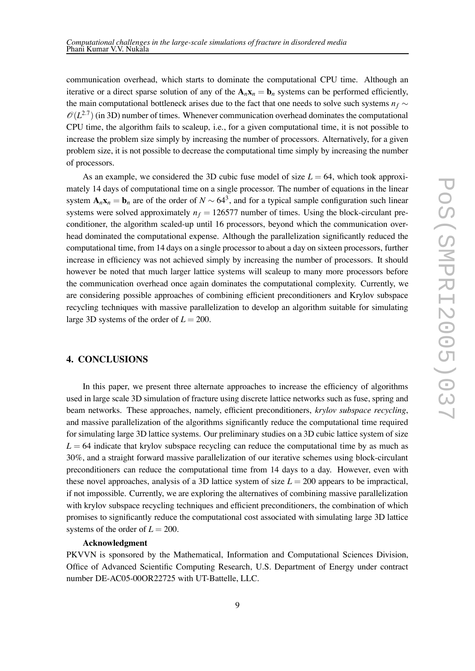communication overhead, which starts to dominate the computational CPU time. Although an iterative or a direct sparse solution of any of the  $\mathbf{A}_n \mathbf{x}_n = \mathbf{b}_n$  systems can be performed efficiently, the main computational bottleneck arises due to the fact that one needs to solve such systems  $n_f \sim$  $\mathcal{O}(L^{2.7})$  (in 3D) number of times. Whenever communication overhead dominates the computational CPU time, the algorithm fails to scaleup, i.e., for a given computational time, it is not possible to increase the problem size simply by increasing the number of processors. Alternatively, for a given problem size, it is not possible to decrease the computational time simply by increasing the number of processors.

As an example, we considered the 3D cubic fuse model of size  $L = 64$ , which took approximately 14 days of computational time on a single processor. The number of equations in the linear system  $\mathbf{A}_n\mathbf{x}_n = \mathbf{b}_n$  are of the order of  $N \sim 64^3$ , and for a typical sample configuration such linear systems were solved approximately  $n_f = 126577$  number of times. Using the block-circulant preconditioner, the algorithm scaled-up until 16 processors, beyond which the communication overhead dominated the computational expense. Although the parallelization significantly reduced the computational time, from 14 days on a single processor to about a day on sixteen processors, further increase in efficiency was not achieved simply by increasing the number of processors. It should however be noted that much larger lattice systems will scaleup to many more processors before the communication overhead once again dominates the computational complexity. Currently, we are considering possible approaches of combining efficient preconditioners and Krylov subspace recycling techniques with massive parallelization to develop an algorithm suitable for simulating large 3D systems of the order of  $L = 200$ .

### **4. CONCLUSIONS**

In this paper, we present three alternate approaches to increase the efficiency of algorithms used in large scale 3D simulation of fracture using discrete lattice networks such as fuse, spring and beam networks. These approaches, namely, efficient preconditioners, *krylov subspace recycling*, and massive parallelization of the algorithms significantly reduce the computational time required for simulating large 3D lattice systems. Our preliminary studies on a 3D cubic lattice system of size  $L = 64$  indicate that krylov subspace recycling can reduce the computational time by as much as 30%, and a straight forward massive parallelization of our iterative schemes using block-circulant preconditioners can reduce the computational time from 14 days to a day. However, even with these novel approaches, analysis of a 3D lattice system of size  $L = 200$  appears to be impractical, if not impossible. Currently, we are exploring the alternatives of combining massive parallelization with krylov subspace recycling techniques and efficient preconditioners, the combination of which promises to significantly reduce the computational cost associated with simulating large 3D lattice systems of the order of  $L = 200$ .

#### **Acknowledgment**

PKVVN is sponsored by the Mathematical, Information and Computational Sciences Division, Office of Advanced Scientific Computing Research, U.S. Department of Energy under contract number DE-AC05-00OR22725 with UT-Battelle, LLC.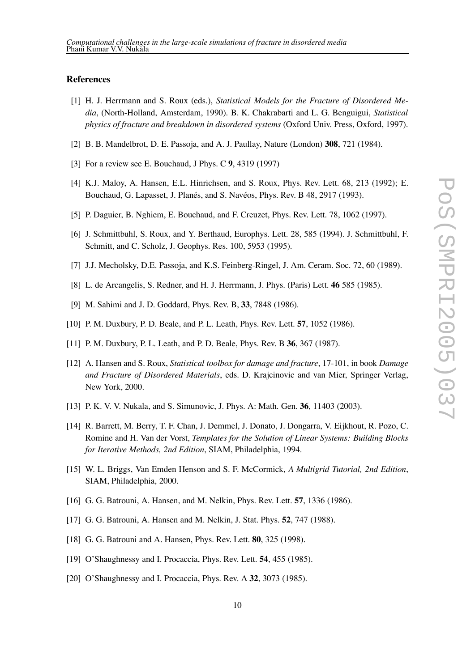## **References**

- [1] H. J. Herrmann and S. Roux (eds.), *Statistical Models for the Fracture of Disordered Media*, (North-Holland, Amsterdam, 1990). B. K. Chakrabarti and L. G. Benguigui, *Statistical physics of fracture and breakdown in disordered systems* (Oxford Univ. Press, Oxford, 1997).
- [2] B. B. Mandelbrot, D. E. Passoja, and A. J. Paullay, Nature (London) **308**, 721 (1984).
- [3] For a review see E. Bouchaud, J Phys. C **9**, 4319 (1997)
- [4] K.J. Maloy, A. Hansen, E.L. Hinrichsen, and S. Roux, Phys. Rev. Lett. 68, 213 (1992); E. Bouchaud, G. Lapasset, J. Planés, and S. Navéos, Phys. Rev. B 48, 2917 (1993).
- [5] P. Daguier, B. Nghiem, E. Bouchaud, and F. Creuzet, Phys. Rev. Lett. 78, 1062 (1997).
- [6] J. Schmittbuhl, S. Roux, and Y. Berthaud, Europhys. Lett. 28, 585 (1994). J. Schmittbuhl, F. Schmitt, and C. Scholz, J. Geophys. Res. 100, 5953 (1995).
- [7] J.J. Mecholsky, D.E. Passoja, and K.S. Feinberg-Ringel, J. Am. Ceram. Soc. 72, 60 (1989).
- [8] L. de Arcangelis, S. Redner, and H. J. Herrmann, J. Phys. (Paris) Lett. **46** 585 (1985).
- [9] M. Sahimi and J. D. Goddard, Phys. Rev. B, **33**, 7848 (1986).
- [10] P. M. Duxbury, P. D. Beale, and P. L. Leath, Phys. Rev. Lett. **57**, 1052 (1986).
- [11] P. M. Duxbury, P. L. Leath, and P. D. Beale, Phys. Rev. B **36**, 367 (1987).
- [12] A. Hansen and S. Roux, *Statistical toolbox for damage and fracture*, 17-101, in book *Damage and Fracture of Disordered Materials*, eds. D. Krajcinovic and van Mier, Springer Verlag, New York, 2000.
- [13] P. K. V. V. Nukala, and S. Simunovic, J. Phys. A: Math. Gen. **36**, 11403 (2003).
- [14] R. Barrett, M. Berry, T. F. Chan, J. Demmel, J. Donato, J. Dongarra, V. Eijkhout, R. Pozo, C. Romine and H. Van der Vorst, *Templates for the Solution of Linear Systems: Building Blocks for Iterative Methods, 2nd Edition*, SIAM, Philadelphia, 1994.
- [15] W. L. Briggs, Van Emden Henson and S. F. McCormick, *A Multigrid Tutorial, 2nd Edition*, SIAM, Philadelphia, 2000.
- [16] G. G. Batrouni, A. Hansen, and M. Nelkin, Phys. Rev. Lett. **57**, 1336 (1986).
- [17] G. G. Batrouni, A. Hansen and M. Nelkin, J. Stat. Phys. **52**, 747 (1988).
- [18] G. G. Batrouni and A. Hansen, Phys. Rev. Lett. **80**, 325 (1998).
- [19] O'Shaughnessy and I. Procaccia, Phys. Rev. Lett. **54**, 455 (1985).
- [20] O'Shaughnessy and I. Procaccia, Phys. Rev. A **32**, 3073 (1985).